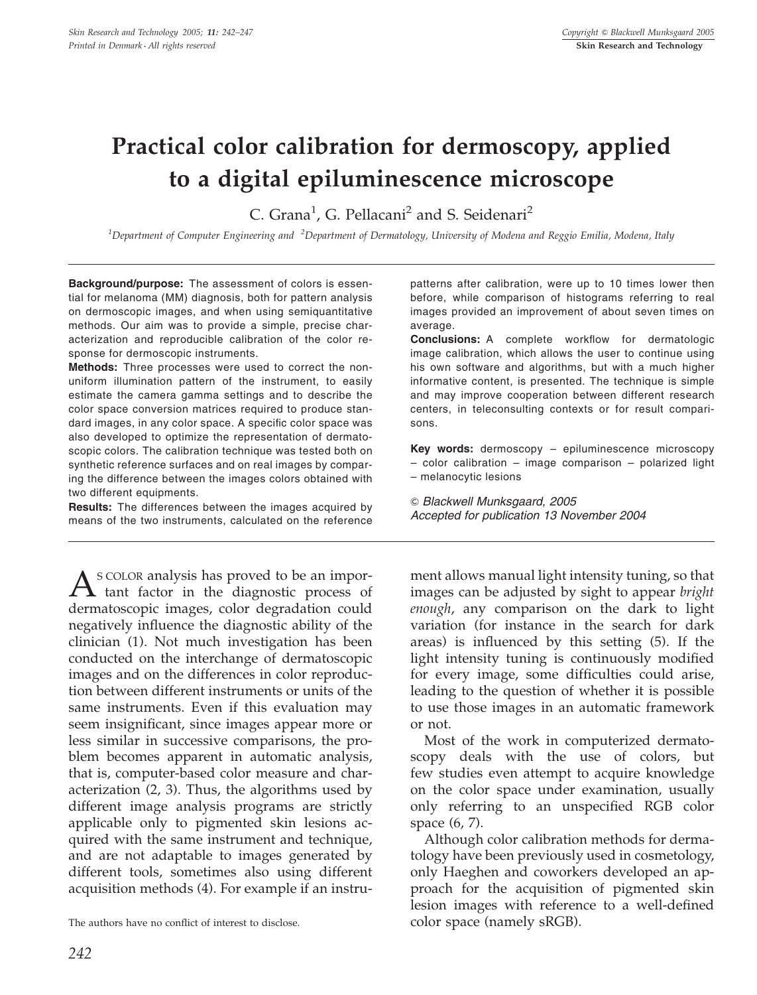# Practical color calibration for dermoscopy, applied to a digital epiluminescence microscope

C. Grana<sup>1</sup>, G. Pellacani<sup>2</sup> and S. Seidenari<sup>2</sup>

<sup>1</sup>Department of Computer Engineering and <sup>2</sup>Department of Dermatology, University of Modena and Reggio Emilia, Modena, Italy

Background/purpose: The assessment of colors is essential for melanoma (MM) diagnosis, both for pattern analysis on dermoscopic images, and when using semiquantitative methods. Our aim was to provide a simple, precise characterization and reproducible calibration of the color response for dermoscopic instruments.

Methods: Three processes were used to correct the nonuniform illumination pattern of the instrument, to easily estimate the camera gamma settings and to describe the color space conversion matrices required to produce standard images, in any color space. A specific color space was also developed to optimize the representation of dermatoscopic colors. The calibration technique was tested both on synthetic reference surfaces and on real images by comparing the difference between the images colors obtained with two different equipments.

Results: The differences between the images acquired by means of the two instruments, calculated on the reference

 $\sum_{\text{tant factor}}$  scolor analysis has proved to be an important factor in the diagnostic process of dermatoscopic images, color degradation could negatively influence the diagnostic ability of the clinician (1). Not much investigation has been conducted on the interchange of dermatoscopic images and on the differences in color reproduction between different instruments or units of the same instruments. Even if this evaluation may seem insignificant, since images appear more or less similar in successive comparisons, the problem becomes apparent in automatic analysis, that is, computer-based color measure and characterization (2, 3). Thus, the algorithms used by different image analysis programs are strictly applicable only to pigmented skin lesions acquired with the same instrument and technique, and are not adaptable to images generated by different tools, sometimes also using different acquisition methods (4). For example if an instru-

The authors have no conflict of interest to disclose. color space (namely sRGB).

patterns after calibration, were up to 10 times lower then before, while comparison of histograms referring to real images provided an improvement of about seven times on average.

Conclusions: A complete workflow for dermatologic image calibration, which allows the user to continue using his own software and algorithms, but with a much higher informative content, is presented. The technique is simple and may improve cooperation between different research centers, in teleconsulting contexts or for result comparisons.

Key words: dermoscopy - epiluminescence microscopy – color calibration – image comparison – polarized light – melanocytic lesions

 $© Blackwell Munksgaard, 2005$ Accepted for publication 13 November 2004

ment allows manual light intensity tuning, so that images can be adjusted by sight to appear bright enough, any comparison on the dark to light variation (for instance in the search for dark areas) is influenced by this setting (5). If the light intensity tuning is continuously modified for every image, some difficulties could arise, leading to the question of whether it is possible to use those images in an automatic framework or not.

Most of the work in computerized dermatoscopy deals with the use of colors, but few studies even attempt to acquire knowledge on the color space under examination, usually only referring to an unspecified RGB color space (6, 7).

Although color calibration methods for dermatology have been previously used in cosmetology, only Haeghen and coworkers developed an approach for the acquisition of pigmented skin lesion images with reference to a well-defined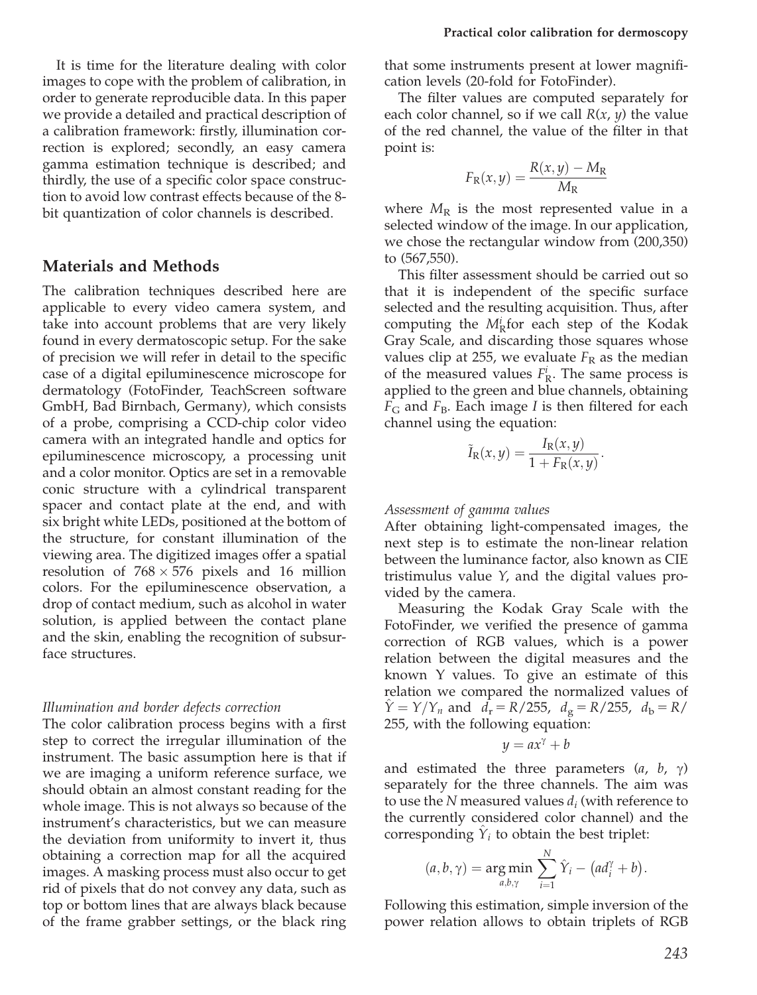It is time for the literature dealing with color images to cope with the problem of calibration, in order to generate reproducible data. In this paper we provide a detailed and practical description of a calibration framework: firstly, illumination correction is explored; secondly, an easy camera gamma estimation technique is described; and thirdly, the use of a specific color space construction to avoid low contrast effects because of the 8 bit quantization of color channels is described.

## Materials and Methods

The calibration techniques described here are applicable to every video camera system, and take into account problems that are very likely found in every dermatoscopic setup. For the sake of precision we will refer in detail to the specific case of a digital epiluminescence microscope for dermatology (FotoFinder, TeachScreen software GmbH, Bad Birnbach, Germany), which consists of a probe, comprising a CCD-chip color video camera with an integrated handle and optics for epiluminescence microscopy, a processing unit and a color monitor. Optics are set in a removable conic structure with a cylindrical transparent spacer and contact plate at the end, and with six bright white LEDs, positioned at the bottom of the structure, for constant illumination of the viewing area. The digitized images offer a spatial resolution of  $768 \times 576$  pixels and 16 million colors. For the epiluminescence observation, a drop of contact medium, such as alcohol in water solution, is applied between the contact plane and the skin, enabling the recognition of subsurface structures.

#### Illumination and border defects correction

The color calibration process begins with a first step to correct the irregular illumination of the instrument. The basic assumption here is that if we are imaging a uniform reference surface, we should obtain an almost constant reading for the whole image. This is not always so because of the instrument's characteristics, but we can measure the deviation from uniformity to invert it, thus obtaining a correction map for all the acquired images. A masking process must also occur to get rid of pixels that do not convey any data, such as top or bottom lines that are always black because of the frame grabber settings, or the black ring that some instruments present at lower magnification levels (20-fold for FotoFinder).

The filter values are computed separately for each color channel, so if we call  $R(x, y)$  the value of the red channel, the value of the filter in that point is:

$$
F_{\rm R}(x,y) = \frac{R(x,y) - M_{\rm R}}{M_{\rm R}}
$$

where  $M_R$  is the most represented value in a selected window of the image. In our application, we chose the rectangular window from (200,350) to (567,550).

This filter assessment should be carried out so that it is independent of the specific surface selected and the resulting acquisition. Thus, after computing the  $M_R^i$  for each step of the Kodak Gray Scale, and discarding those squares whose values clip at 255, we evaluate  $F_R$  as the median of the measured values  $F_R^i$ . The same process is applied to the green and blue channels, obtaining  $F_G$  and  $F_B$ . Each image I is then filtered for each channel using the equation:

$$
\tilde{I}_{R}(x,y) = \frac{I_{R}(x,y)}{1 + F_{R}(x,y)}.
$$

#### Assessment of gamma values

After obtaining light-compensated images, the next step is to estimate the non-linear relation between the luminance factor, also known as CIE tristimulus value Y, and the digital values provided by the camera.

Measuring the Kodak Gray Scale with the FotoFinder, we verified the presence of gamma correction of RGB values, which is a power relation between the digital measures and the known Y values. To give an estimate of this relation we compared the normalized values of  $\hat{Y} = Y/Y_n$  and  $\bar{d}_r = R/255$ ,  $d_g = R/255$ ,  $d_b = R/255$ 255, with the following equation:

$$
y = ax^{\gamma} + b
$$

and estimated the three parameters  $(a, b, \gamma)$ separately for the three channels. The aim was to use the N measured values  $d_i$  (with reference to the currently considered color channel) and the corresponding  $Y_i$  to obtain the best triplet:

$$
(a, b, \gamma) = \underset{a, b, \gamma}{\arg \min} \sum_{i=1}^{N} \hat{Y}_i - (ad_i^{\gamma} + b)
$$

Following this estimation, simple inversion of the power relation allows to obtain triplets of RGB

: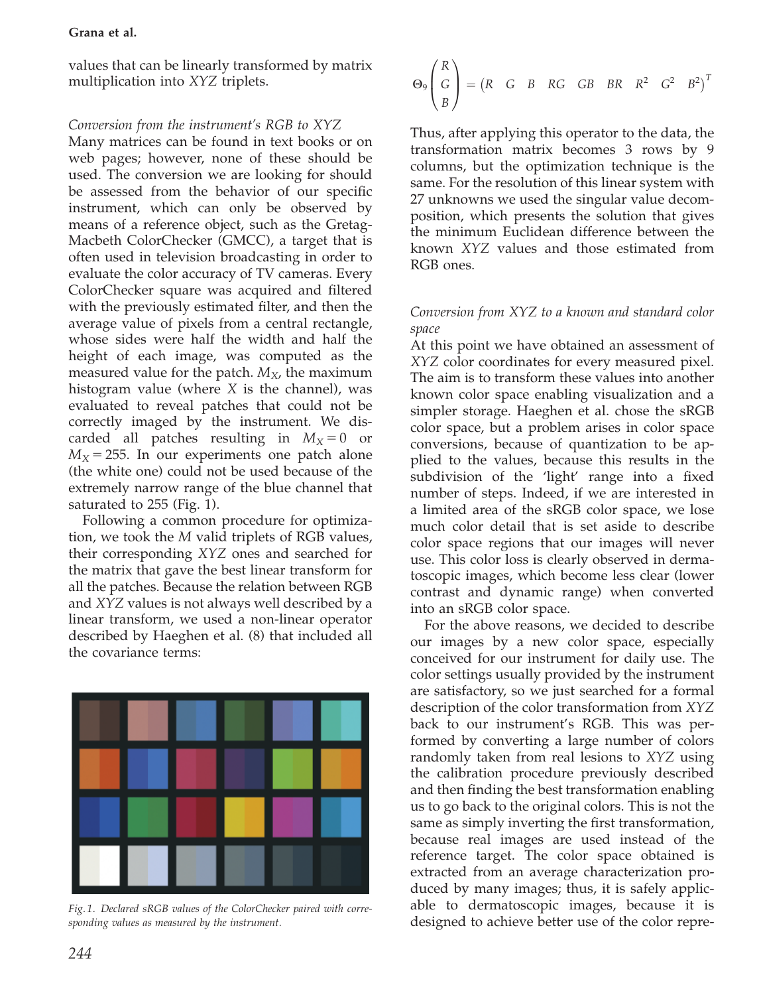values that can be linearly transformed by matrix multiplication into XYZ triplets.

## Conversion from the instrument's RGB to XYZ

Many matrices can be found in text books or on web pages; however, none of these should be used. The conversion we are looking for should be assessed from the behavior of our specific instrument, which can only be observed by means of a reference object, such as the Gretag-Macbeth ColorChecker (GMCC), a target that is often used in television broadcasting in order to evaluate the color accuracy of TV cameras. Every ColorChecker square was acquired and filtered with the previously estimated filter, and then the average value of pixels from a central rectangle, whose sides were half the width and half the height of each image, was computed as the measured value for the patch.  $M_X$ , the maximum histogram value (where X is the channel), was evaluated to reveal patches that could not be correctly imaged by the instrument. We discarded all patches resulting in  $M_X = 0$  or  $M<sub>X</sub>$  = 255. In our experiments one patch alone (the white one) could not be used because of the extremely narrow range of the blue channel that saturated to 255 (Fig. 1).

Following a common procedure for optimization, we took the M valid triplets of RGB values, their corresponding XYZ ones and searched for the matrix that gave the best linear transform for all the patches. Because the relation between RGB and XYZ values is not always well described by a linear transform, we used a non-linear operator described by Haeghen et al. (8) that included all the covariance terms:



Fig. 1. Declared sRGB values of the ColorChecker paired with corresponding values as measured by the instrument.

$$
\Theta_9 \begin{pmatrix} R \\ G \\ B \end{pmatrix} = \begin{pmatrix} R & G & B & RG & GB & BR & R^2 & G^2 & B^2 \end{pmatrix}^T
$$

Thus, after applying this operator to the data, the transformation matrix becomes 3 rows by 9 columns, but the optimization technique is the same. For the resolution of this linear system with 27 unknowns we used the singular value decomposition, which presents the solution that gives the minimum Euclidean difference between the known XYZ values and those estimated from RGB ones.

## Conversion from XYZ to a known and standard color space

At this point we have obtained an assessment of XYZ color coordinates for every measured pixel. The aim is to transform these values into another known color space enabling visualization and a simpler storage. Haeghen et al. chose the sRGB color space, but a problem arises in color space conversions, because of quantization to be applied to the values, because this results in the subdivision of the 'light' range into a fixed number of steps. Indeed, if we are interested in a limited area of the sRGB color space, we lose much color detail that is set aside to describe color space regions that our images will never use. This color loss is clearly observed in dermatoscopic images, which become less clear (lower contrast and dynamic range) when converted into an sRGB color space.

For the above reasons, we decided to describe our images by a new color space, especially conceived for our instrument for daily use. The color settings usually provided by the instrument are satisfactory, so we just searched for a formal description of the color transformation from XYZ back to our instrument's RGB. This was performed by converting a large number of colors randomly taken from real lesions to XYZ using the calibration procedure previously described and then finding the best transformation enabling us to go back to the original colors. This is not the same as simply inverting the first transformation, because real images are used instead of the reference target. The color space obtained is extracted from an average characterization produced by many images; thus, it is safely applicable to dermatoscopic images, because it is designed to achieve better use of the color repre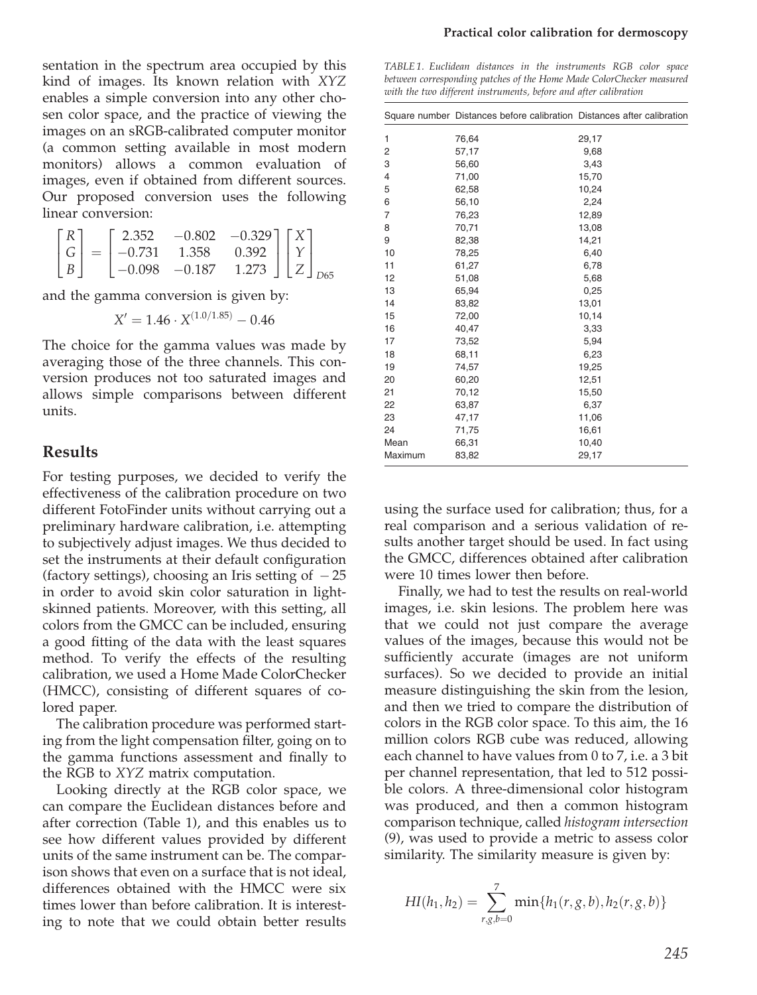sentation in the spectrum area occupied by this kind of images. Its known relation with XYZ enables a simple conversion into any other chosen color space, and the practice of viewing the images on an sRGB-calibrated computer monitor (a common setting available in most modern monitors) allows a common evaluation of images, even if obtained from different sources. Our proposed conversion uses the following linear conversion:

$$
\begin{bmatrix} R \\ G \\ B \end{bmatrix} = \begin{bmatrix} 2.352 & -0.802 & -0.329 \\ -0.731 & 1.358 & 0.392 \\ -0.098 & -0.187 & 1.273 \end{bmatrix} \begin{bmatrix} X \\ Y \\ Z \end{bmatrix}_{D65}
$$

and the gamma conversion is given by:

$$
X' = 1.46 \cdot X^{(1.0/1.85)} - 0.46
$$

The choice for the gamma values was made by averaging those of the three channels. This conversion produces not too saturated images and allows simple comparisons between different units.

#### Results

For testing purposes, we decided to verify the effectiveness of the calibration procedure on two different FotoFinder units without carrying out a preliminary hardware calibration, i.e. attempting to subjectively adjust images. We thus decided to set the instruments at their default configuration (factory settings), choosing an Iris setting of  $-25$ in order to avoid skin color saturation in lightskinned patients. Moreover, with this setting, all colors from the GMCC can be included, ensuring a good fitting of the data with the least squares method. To verify the effects of the resulting calibration, we used a Home Made ColorChecker (HMCC), consisting of different squares of colored paper.

The calibration procedure was performed starting from the light compensation filter, going on to the gamma functions assessment and finally to the RGB to XYZ matrix computation.

Looking directly at the RGB color space, we can compare the Euclidean distances before and after correction (Table 1), and this enables us to see how different values provided by different units of the same instrument can be. The comparison shows that even on a surface that is not ideal, differences obtained with the HMCC were six times lower than before calibration. It is interesting to note that we could obtain better results

TABLE 1. Euclidean distances in the instruments RGB color space between corresponding patches of the Home Made ColorChecker measured with the two different instruments, before and after calibration

|         | Square number Distances before calibration Distances after calibration |       |
|---------|------------------------------------------------------------------------|-------|
| 1       | 76,64                                                                  | 29,17 |
| 2       | 57,17                                                                  | 9,68  |
| 3       | 56,60                                                                  | 3,43  |
| 4       | 71,00                                                                  | 15,70 |
| 5       | 62,58                                                                  | 10,24 |
| 6       | 56,10                                                                  | 2,24  |
| 7       | 76,23                                                                  | 12,89 |
| 8       | 70,71                                                                  | 13,08 |
| 9       | 82,38                                                                  | 14,21 |
| 10      | 78,25                                                                  | 6,40  |
| 11      | 61,27                                                                  | 6,78  |
| 12      | 51,08                                                                  | 5,68  |
| 13      | 65,94                                                                  | 0,25  |
| 14      | 83,82                                                                  | 13,01 |
| 15      | 72,00                                                                  | 10,14 |
| 16      | 40,47                                                                  | 3,33  |
| 17      | 73,52                                                                  | 5,94  |
| 18      | 68,11                                                                  | 6,23  |
| 19      | 74,57                                                                  | 19,25 |
| 20      | 60,20                                                                  | 12,51 |
| 21      | 70,12                                                                  | 15,50 |
| 22      | 63,87                                                                  | 6,37  |
| 23      | 47,17                                                                  | 11,06 |
| 24      | 71,75                                                                  | 16,61 |
| Mean    | 66,31                                                                  | 10,40 |
| Maximum | 83,82                                                                  | 29,17 |

using the surface used for calibration; thus, for a real comparison and a serious validation of results another target should be used. In fact using the GMCC, differences obtained after calibration were 10 times lower then before.

Finally, we had to test the results on real-world images, i.e. skin lesions. The problem here was that we could not just compare the average values of the images, because this would not be sufficiently accurate (images are not uniform surfaces). So we decided to provide an initial measure distinguishing the skin from the lesion, and then we tried to compare the distribution of colors in the RGB color space. To this aim, the 16 million colors RGB cube was reduced, allowing each channel to have values from 0 to 7, i.e. a 3 bit per channel representation, that led to 512 possible colors. A three-dimensional color histogram was produced, and then a common histogram comparison technique, called histogram intersection (9), was used to provide a metric to assess color similarity. The similarity measure is given by:

$$
HI(h_1, h_2) = \sum_{r,g,b=0}^{7} \min\{h_1(r,g,b), h_2(r,g,b)\}\
$$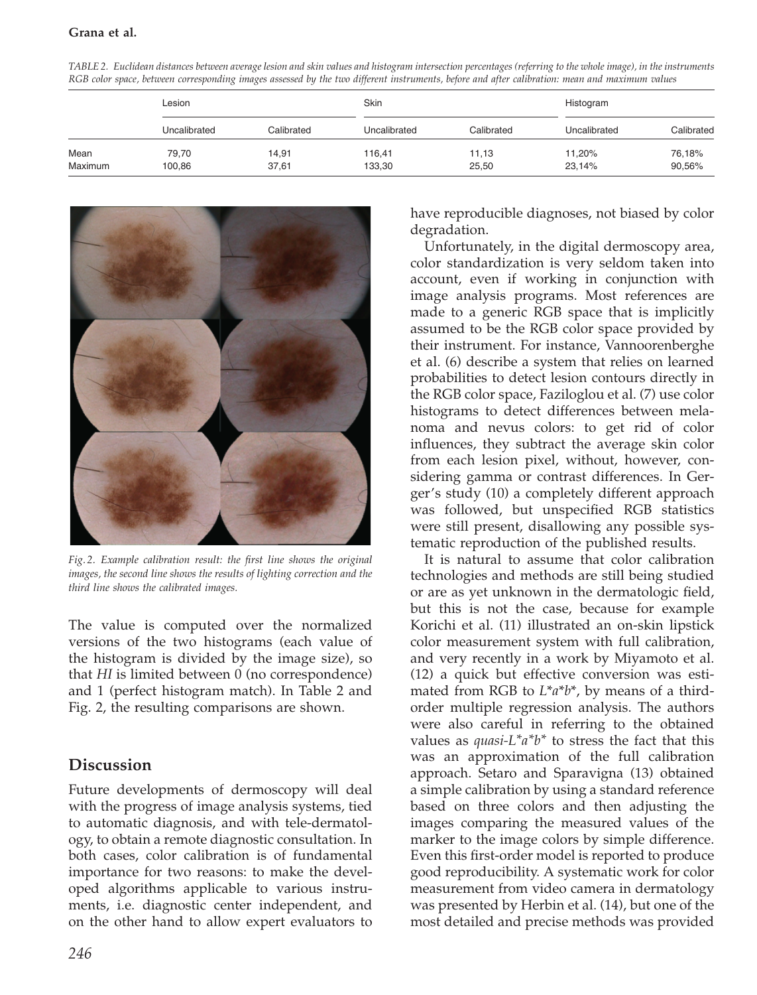#### Grana et al.

TABLE 2. Euclidean distances between average lesion and skin values and histogram intersection percentages (referring to the whole image), in the instruments RGB color space, between corresponding images assessed by the two different instruments, before and after calibration: mean and maximum values

|         | Lesion       |            | Skin         |            | Histogram    |            |  |
|---------|--------------|------------|--------------|------------|--------------|------------|--|
|         | Uncalibrated | Calibrated | Uncalibrated | Calibrated | Uncalibrated | Calibrated |  |
| Mean    | 79.70        | 14.91      | 116,41       | 11,13      | 11,20%       | 76,18%     |  |
| Maximum | 100.86       | 37.61      | 133.30       | 25,50      | 23,14%       | 90,56%     |  |



Fig. 2. Example calibration result: the first line shows the original images, the second line shows the results of lighting correction and the third line shows the calibrated images.

The value is computed over the normalized versions of the two histograms (each value of the histogram is divided by the image size), so that HI is limited between 0 (no correspondence) and 1 (perfect histogram match). In Table 2 and Fig. 2, the resulting comparisons are shown.

## Discussion

Future developments of dermoscopy will deal with the progress of image analysis systems, tied to automatic diagnosis, and with tele-dermatology, to obtain a remote diagnostic consultation. In both cases, color calibration is of fundamental importance for two reasons: to make the developed algorithms applicable to various instruments, i.e. diagnostic center independent, and on the other hand to allow expert evaluators to have reproducible diagnoses, not biased by color degradation.

Unfortunately, in the digital dermoscopy area, color standardization is very seldom taken into account, even if working in conjunction with image analysis programs. Most references are made to a generic RGB space that is implicitly assumed to be the RGB color space provided by their instrument. For instance, Vannoorenberghe et al. (6) describe a system that relies on learned probabilities to detect lesion contours directly in the RGB color space, Faziloglou et al. (7) use color histograms to detect differences between melanoma and nevus colors: to get rid of color influences, they subtract the average skin color from each lesion pixel, without, however, considering gamma or contrast differences. In Gerger's study (10) a completely different approach was followed, but unspecified RGB statistics were still present, disallowing any possible systematic reproduction of the published results.

It is natural to assume that color calibration technologies and methods are still being studied or are as yet unknown in the dermatologic field, but this is not the case, because for example Korichi et al. (11) illustrated an on-skin lipstick color measurement system with full calibration, and very recently in a work by Miyamoto et al. (12) a quick but effective conversion was estimated from RGB to  $L^*a^*b^*$ , by means of a thirdorder multiple regression analysis. The authors were also careful in referring to the obtained values as quasi- $L^*a^*b^*$  to stress the fact that this was an approximation of the full calibration approach. Setaro and Sparavigna (13) obtained a simple calibration by using a standard reference based on three colors and then adjusting the images comparing the measured values of the marker to the image colors by simple difference. Even this first-order model is reported to produce good reproducibility. A systematic work for color measurement from video camera in dermatology was presented by Herbin et al. (14), but one of the most detailed and precise methods was provided